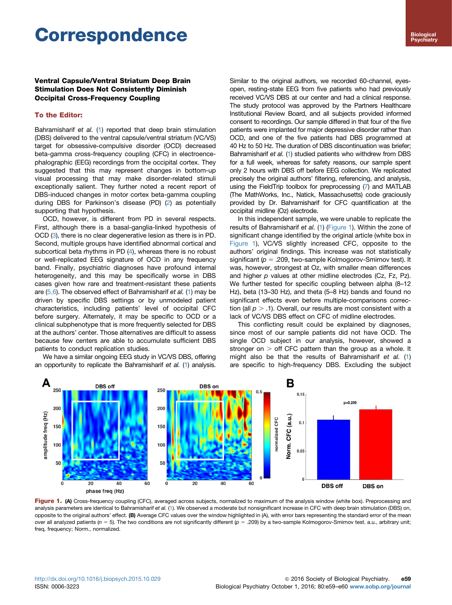# Correspondence

## Ventral Capsule/Ventral Striatum Deep Brain Stimulation Does Not Consistently Diminish Occipital Cross-Frequency Coupling

### To the Editor:

Bahramisharif et al. ([1\)](#page-1-0) reported that deep brain stimulation (DBS) delivered to the ventral capsule/ventral striatum (VC/VS) target for obsessive-compulsive disorder (OCD) decreased beta-gamma cross-frequency coupling (CFC) in electroencephalographic (EEG) recordings from the occipital cortex. They suggested that this may represent changes in bottom-up visual processing that may make disorder-related stimuli exceptionally salient. They further noted a recent report of DBS-induced changes in motor cortex beta-gamma coupling during DBS for Parkinson's disease (PD) ([2](#page-1-0)) as potentially supporting that hypothesis.

OCD, however, is different from PD in several respects. First, although there is a basal-ganglia-linked hypothesis of OCD ([3](#page-1-0)), there is no clear degenerative lesion as there is in PD. Second, multiple groups have identified abnormal cortical and subcortical beta rhythms in PD ([4](#page-1-0)), whereas there is no robust or well-replicated EEG signature of OCD in any frequency band. Finally, psychiatric diagnoses have profound internal heterogeneity, and this may be specifically worse in DBS cases given how rare and treatment-resistant these patients are  $(5,6)$ . The observed effect of Bahramisharif et al. ([1](#page-1-0)) may be driven by specific DBS settings or by unmodeled patient characteristics, including patients' level of occipital CFC before surgery. Alternately, it may be specific to OCD or a clinical subphenotype that is more frequently selected for DBS at the authors' center. Those alternatives are difficult to assess because few centers are able to accumulate sufficient DBS patients to conduct replication studies.

We have a similar ongoing EEG study in VC/VS DBS, offering an opportunity to replicate the Bahramisharif et al. [\(1\)](#page-1-0) analysis.

Similar to the original authors, we recorded 60-channel, eyesopen, resting-state EEG from five patients who had previously received VC/VS DBS at our center and had a clinical response. The study protocol was approved by the Partners Healthcare Institutional Review Board, and all subjects provided informed consent to recordings. Our sample differed in that four of the five patients were implanted for major depressive disorder rather than OCD, and one of the five patients had DBS programmed at 40 Hz to 50 Hz. The duration of DBS discontinuation was briefer; Bahramisharif et al. [\(1\)](#page-1-0) studied patients who withdrew from DBS for a full week, whereas for safety reasons, our sample spent only 2 hours with DBS off before EEG collection. We replicated precisely the original authors' filtering, referencing, and analysis, using the FieldTrip toolbox for preprocessing ([7](#page-1-0)) and MATLAB (The MathWorks, Inc., Natick, Massachusetts) code graciously provided by Dr. Bahramisharif for CFC quantification at the occipital midline (Oz) electrode.

In this independent sample, we were unable to replicate the results of Bahramisharif et al. [\(1\)](#page-1-0) (Figure 1). Within the zone of significant change identified by the original article (white box in Figure 1), VC/VS slightly increased CFC, opposite to the authors' original findings. This increase was not statistically significant ( $p = .209$ , two-sample Kolmogorov-Smirnov test). It was, however, strongest at Oz, with smaller mean differences and higher p values at other midline electrodes (Cz, Fz, Pz). We further tested for specific coupling between alpha (8–12 Hz), beta (13–30 Hz), and theta (5–8 Hz) bands and found no significant effects even before multiple-comparisons correction (all  $p > 0.1$ ). Overall, our results are most consistent with a lack of VC/VS DBS effect on CFC of midline electrodes.

This conflicting result could be explained by diagnoses, since most of our sample patients did not have OCD. The single OCD subject in our analysis, however, showed a stronger on  $>$  off CFC pattern than the group as a whole. It might also be that the results of Bahramisharif et al. [\(1\)](#page-1-0) are specific to high-frequency DBS. Excluding the subject



Figure 1. (A) Cross-frequency coupling (CFC), averaged across subjects, normalized to maximum of the analysis window (white box). Preprocessing and analysis parameters are identical to Bahramisharif et al. [\(1](#page-1-0)). We observed a moderate but nonsignificant increase in CFC with deep brain stimulation (DBS) on, opposite to the original authors' effect. (B) Average CFC values over the window highlighted in (A), with error bars representing the standard error of the mean over all analyzed patients ( $n = 5$ ). The two conditions are not significantly different ( $p = .209$ ) by a two-sample Kolmogorov-Smirnov test. a.u., arbitrary unit; freq, frequency; Norm., normalized.